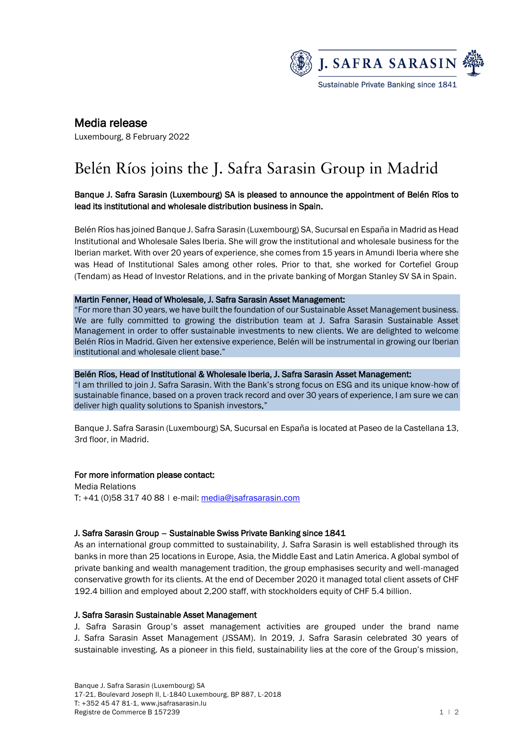

# Media release

Luxembourg, 8 February 2022

# Belén Ríos joins the J. Safra Sarasin Group in Madrid

## Banque J. Safra Sarasin (Luxembourg) SA is pleased to announce the appointment of Belén Ríos to lead its institutional and wholesale distribution business in Spain.

Belén Ríos has joined Banque J. Safra Sarasin (Luxembourg) SA, Sucursal en España in Madrid as Head Institutional and Wholesale Sales Iberia. She will grow the institutional and wholesale business for the Iberian market. With over 20 years of experience, she comes from 15 years in Amundi Iberia where she was Head of Institutional Sales among other roles. Prior to that, she worked for Cortefiel Group (Tendam) as Head of Investor Relations, and in the private banking of Morgan Stanley SV SA in Spain.

#### Martin Fenner, Head of Wholesale, J. Safra Sarasin Asset Management:

"For more than 30 years, we have built the foundation of our Sustainable Asset Management business. We are fully committed to growing the distribution team at J. Safra Sarasin Sustainable Asset Management in order to offer sustainable investments to new clients. We are delighted to welcome Belén Ríos in Madrid. Given her extensive experience, Belén will be instrumental in growing our Iberian institutional and wholesale client base."

#### Belén Ríos, Head of Institutional & Wholesale Iberia, J. Safra Sarasin Asset Management:

"I am thrilled to join J. Safra Sarasin. With the Bank's strong focus on ESG and its unique know-how of sustainable finance, based on a proven track record and over 30 years of experience, I am sure we can deliver high quality solutions to Spanish investors."

Banque J. Safra Sarasin (Luxembourg) SA, Sucursal en España is located at Paseo de la Castellana 13, 3rd floor, in Madrid.

#### For more information please contact:

Media Relations T: +41 (0)58 317 40 88 | e-mail: [media@jsafrasarasin.com](mailto:media@jsafrasarasin.com)

#### J. Safra Sarasin Group – Sustainable Swiss Private Banking since 1841

As an international group committed to sustainability, J. Safra Sarasin is well established through its banks in more than 25 locations in Europe, Asia, the Middle East and Latin America. A global symbol of private banking and wealth management tradition, the group emphasises security and well-managed conservative growth for its clients. At the end of December 2020 it managed total client assets of CHF 192.4 billion and employed about 2,200 staff, with stockholders equity of CHF 5.4 billion.

#### J. Safra Sarasin Sustainable Asset Management

J. Safra Sarasin Group's asset management activities are grouped under the brand name J. Safra Sarasin Asset Management (JSSAM). In 2019, J. Safra Sarasin celebrated 30 years of sustainable investing. As a pioneer in this field, sustainability lies at the core of the Group's mission,